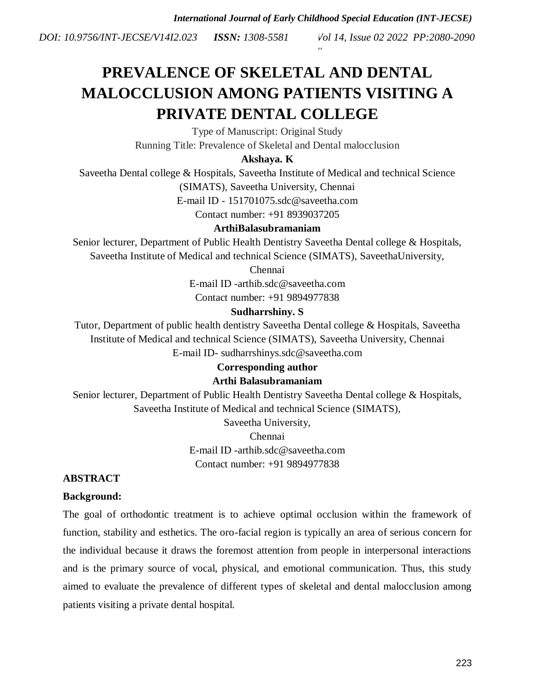*Vol 14, Issue 02 2022 PP:2080-2090 DOI: 10.9756/INT-JECSE/V14I2.023 ISSN: 1308-5581*

# **PREVALENCE OF SKELETAL AND DENTAL MALOCCLUSION AMONG PATIENTS VISITING A PRIVATE DENTAL COLLEGE**

Type of Manuscript: Original Study Running Title: Prevalence of Skeletal and Dental malocclusion

# **Akshaya. K**

Saveetha Dental college & Hospitals, Saveetha Institute of Medical and technical Science (SIMATS), Saveetha University, Chennai

E-mail ID - [151701075.sdc@saveetha.com](mailto:151701075.sdc@saveetha.com)

Contact number: +91 8939037205

# **ArthiBalasubramaniam**

Senior lecturer, Department of Public Health Dentistry Saveetha Dental college & Hospitals, Saveetha Institute of Medical and technical Science (SIMATS), SaveethaUniversity,

Chennai

E-mail ID -arthib.sdc@saveetha.com Contact number: +91 9894977838

# **Sudharrshiny. S**

Tutor, Department of public health dentistry Saveetha Dental college & Hospitals, Saveetha Institute of Medical and technical Science (SIMATS), Saveetha University, Chennai E-mail ID- sudharrshinys.sdc@saveetha.com

# **Corresponding author**

### **Arthi Balasubramaniam**

Senior lecturer, Department of Public Health Dentistry Saveetha Dental college & Hospitals, Saveetha Institute of Medical and technical Science (SIMATS),

> Saveetha University, Chennai E-mail ID -arthib.sdc@saveetha.com Contact number: +91 9894977838

# **ABSTRACT**

### **Background:**

The goal of orthodontic treatment is to achieve optimal occlusion within the framework of function, stability and esthetics. The oro-facial region is typically an area of serious concern for the individual because it draws the foremost attention from people in interpersonal interactions and is the primary source of vocal, physical, and emotional communication. Thus, this study aimed to evaluate the prevalence of different types of skeletal and dental malocclusion among patients visiting a private dental hospital.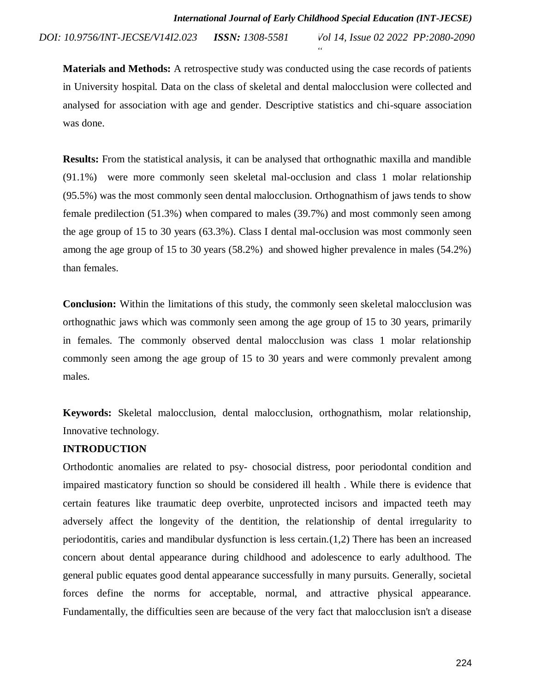*Vol 14, Issue 02 2022 PP:2080-2090 DOI: 10.9756/INT-JECSE/V14I2.023 ISSN: 1308-5581*

**Materials and Methods:** A retrospective study was conducted using the case records of patients in University hospital. Data on the class of skeletal and dental malocclusion were collected and analysed for association with age and gender. Descriptive statistics and chi-square association was done.

**Results:** From the statistical analysis, it can be analysed that orthognathic maxilla and mandible (91.1%) were more commonly seen skeletal mal-occlusion and class 1 molar relationship (95.5%) was the most commonly seen dental malocclusion. Orthognathism of jaws tends to show female predilection (51.3%) when compared to males (39.7%) and most commonly seen among the age group of 15 to 30 years (63.3%). Class I dental mal-occlusion was most commonly seen among the age group of 15 to 30 years (58.2%) and showed higher prevalence in males (54.2%) than females.

**Conclusion:** Within the limitations of this study, the commonly seen skeletal malocclusion was orthognathic jaws which was commonly seen among the age group of 15 to 30 years, primarily in females. The commonly observed dental malocclusion was class 1 molar relationship commonly seen among the age group of 15 to 30 years and were commonly prevalent among males.

**Keywords:** Skeletal malocclusion, dental malocclusion, orthognathism, molar relationship, Innovative technology.

# **INTRODUCTION**

Orthodontic anomalies are related to psy- chosocial distress, poor periodontal condition and impaired masticatory function so should be considered ill health . While there is evidence that certain features like traumatic deep overbite, unprotected incisors and impacted teeth may adversely affect the longevity of the dentition, the relationship of dental irregularity to periodontitis, caries and mandibular dysfunction is less certain[.\(1,2\)](https://paperpile.com/c/4Y1Qy5/V1eE+ZKmG) There has been an increased concern about dental appearance during childhood and adolescence to early adulthood. The general public equates good dental appearance successfully in many pursuits. Generally, societal forces define the norms for acceptable, normal, and attractive physical appearance. Fundamentally, the difficulties seen are because of the very fact that malocclusion isn't a disease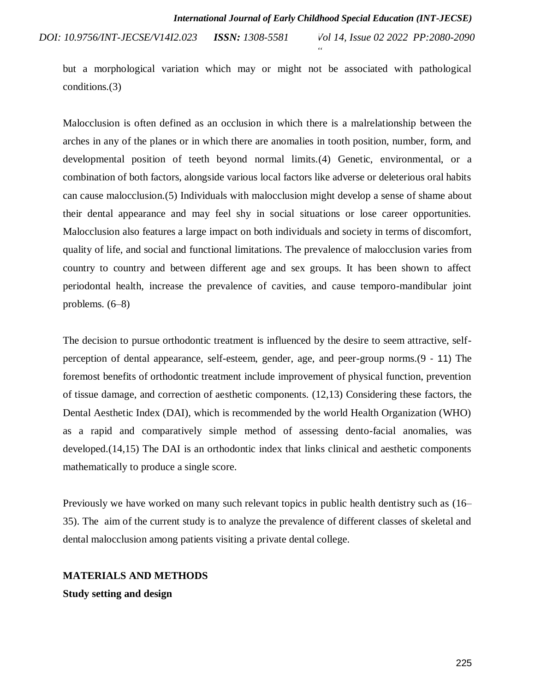*Vol 14, Issue 02 2022 PP:2080-2090 DOI: 10.9756/INT-JECSE/V14I2.023 ISSN: 1308-5581*

but a morphological variation which may or might not be associated with pathological conditions[.\(3\)](https://paperpile.com/c/4Y1Qy5/JbWB)

Malocclusion is often defined as an occlusion in which there is a malrelationship between the arches in any of the planes or in which there are anomalies in tooth position, number, form, and developmental position of teeth beyond normal limits[.\(4\)](https://paperpile.com/c/4Y1Qy5/ua21) Genetic, environmental, or a combination of both factors, alongside various local factors like adverse or deleterious oral habits can cause malocclusion[.\(5\)](https://paperpile.com/c/4Y1Qy5/CtJc) Individuals with malocclusion might develop a sense of shame about their dental appearance and may feel shy in social situations or lose career opportunities. Malocclusion also features a large impact on both individuals and society in terms of discomfort, quality of life, and social and functional limitations. The prevalence of malocclusion varies from country to country and between different age and sex groups. It has been shown to affect periodontal health, increase the prevalence of cavities, and cause temporo-mandibular joint problems. [\(6–8\)](https://paperpile.com/c/4Y1Qy5/8ofs+XCzT+oLid)

The decision to pursue orthodontic treatment is influenced by the desire to seem attractive, selfperception of dental appearance, self-esteem, gender, age, and peer-group norms[.\(9](https://paperpile.com/c/4Y1Qy5/qAY7) - [11\)](https://paperpile.com/c/4Y1Qy5/gNqc+0b9C) The foremost benefits of orthodontic treatment include improvement of physical function, prevention of tissue damage, and correction of aesthetic components. [\(12,13\)](https://paperpile.com/c/4Y1Qy5/OCSP+aPO6) Considering these factors, the Dental Aesthetic Index (DAI), which is recommended by the world Health Organization (WHO) as a rapid and comparatively simple method of assessing dento-facial anomalies, was developed[.\(14,15\)](https://paperpile.com/c/4Y1Qy5/ciy2+sEGG) The DAI is an orthodontic index that links clinical and aesthetic components mathematically to produce a single score.

Previously we have worked on many such relevant topics in public health dentistry such as [\(16–](https://paperpile.com/c/4Y1Qy5/qffJY+b1nrW+Qio1k+Qnz6m+rZiXa+WnCGZ+bavy4+7qHzU+KCRCu) 35). The aim of the current study is to analyze the prevalence of different classes of skeletal and dental malocclusion among patients visiting a private dental college.

# **MATERIALS AND METHODS Study setting and design**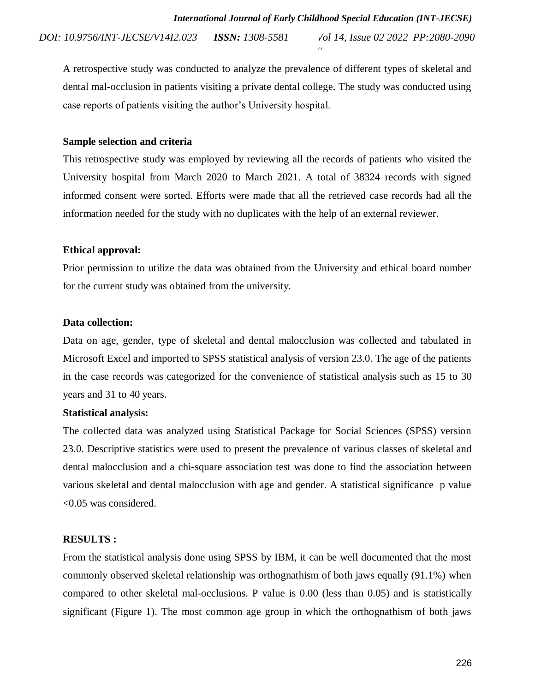*Vol 14, Issue 02 2022 PP:2080-2090 DOI: 10.9756/INT-JECSE/V14I2.023 ISSN: 1308-5581*

A retrospective study was conducted to analyze the prevalence of different types of skeletal and dental mal-occlusion in patients visiting a private dental college. The study was conducted using case reports of patients visiting the author's University hospital.

#### **Sample selection and criteria**

This retrospective study was employed by reviewing all the records of patients who visited the University hospital from March 2020 to March 2021. A total of 38324 records with signed informed consent were sorted. Efforts were made that all the retrieved case records had all the information needed for the study with no duplicates with the help of an external reviewer.

#### **Ethical approval:**

Prior permission to utilize the data was obtained from the University and ethical board number for the current study was obtained from the university.

### **Data collection:**

Data on age, gender, type of skeletal and dental malocclusion was collected and tabulated in Microsoft Excel and imported to SPSS statistical analysis of version 23.0. The age of the patients in the case records was categorized for the convenience of statistical analysis such as 15 to 30 years and 31 to 40 years.

### **Statistical analysis:**

The collected data was analyzed using Statistical Package for Social Sciences (SPSS) version 23.0. Descriptive statistics were used to present the prevalence of various classes of skeletal and dental malocclusion and a chi-square association test was done to find the association between various skeletal and dental malocclusion with age and gender. A statistical significance p value <0.05 was considered.

### **RESULTS :**

From the statistical analysis done using SPSS by IBM, it can be well documented that the most commonly observed skeletal relationship was orthognathism of both jaws equally (91.1%) when compared to other skeletal mal-occlusions. P value is 0.00 (less than 0.05) and is statistically significant (Figure 1). The most common age group in which the orthognathism of both jaws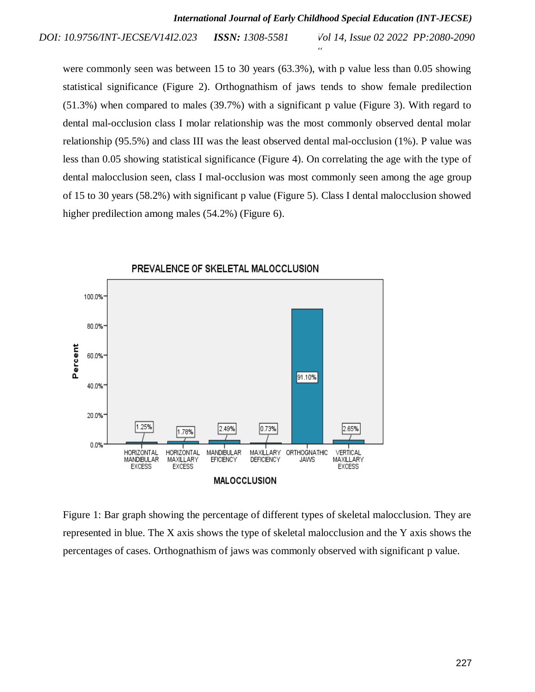*Vol 14, Issue 02 2022 PP:2080-2090 DOI: 10.9756/INT-JECSE/V14I2.023 ISSN: 1308-5581*

were commonly seen was between 15 to 30 years (63.3%), with p value less than 0.05 showing statistical significance (Figure 2). Orthognathism of jaws tends to show female predilection (51.3%) when compared to males (39.7%) with a significant p value (Figure 3). With regard to dental mal-occlusion class I molar relationship was the most commonly observed dental molar relationship (95.5%) and class III was the least observed dental mal-occlusion (1%). P value was less than 0.05 showing statistical significance (Figure 4). On correlating the age with the type of dental malocclusion seen, class I mal-occlusion was most commonly seen among the age group of 15 to 30 years (58.2%) with significant p value (Figure 5). Class I dental malocclusion showed higher predilection among males (54.2%) (Figure 6).



Figure 1: Bar graph showing the percentage of different types of skeletal malocclusion. They are represented in blue. The X axis shows the type of skeletal malocclusion and the Y axis shows the percentages of cases. Orthognathism of jaws was commonly observed with significant p value.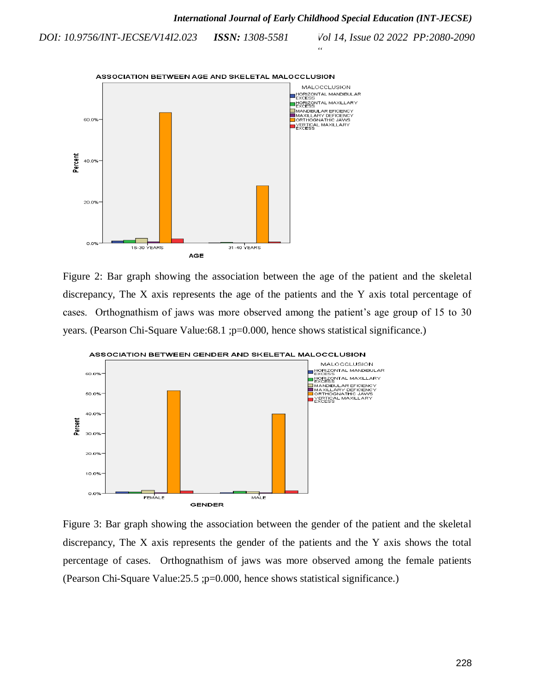

Figure 2: Bar graph showing the association between the age of the patient and the skeletal discrepancy, The X axis represents the age of the patients and the Y axis total percentage of cases. Orthognathism of jaws was more observed among the patient's age group of 15 to 30 years. (Pearson Chi-Square Value: 68.1 ; p=0.000, hence shows statistical significance.)



Figure 3: Bar graph showing the association between the gender of the patient and the skeletal discrepancy, The X axis represents the gender of the patients and the Y axis shows the total percentage of cases. Orthognathism of jaws was more observed among the female patients (Pearson Chi-Square Value:25.5 ;p=0.000, hence shows statistical significance.)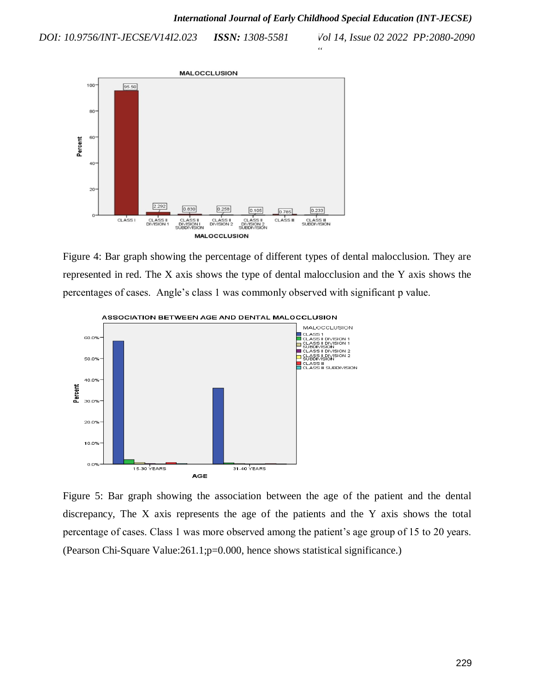*DOI: 10.9756/INT-JECSE/V14I2.023 ISSN: 1308-5581*

*Vol 14, Issue 02 2022 PP:2080-2090*



Figure 4: Bar graph showing the percentage of different types of dental malocclusion. They are represented in red. The X axis shows the type of dental malocclusion and the Y axis shows the percentages of cases. Angle's class 1 was commonly observed with significant p value.



Figure 5: Bar graph showing the association between the age of the patient and the dental discrepancy, The X axis represents the age of the patients and the Y axis shows the total percentage of cases. Class 1 was more observed among the patient's age group of 15 to 20 years. (Pearson Chi-Square Value:261.1;p=0.000, hence shows statistical significance.)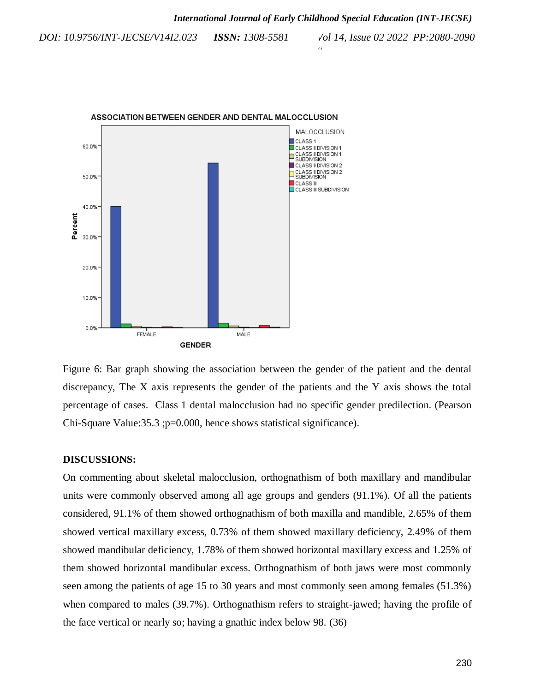*Vol 14, Issue 02 2022 PP:2080-2090 DOI: 10.9756/INT-JECSE/V14I2.023 ISSN: 1308-5581*



Figure 6: Bar graph showing the association between the gender of the patient and the dental discrepancy, The X axis represents the gender of the patients and the Y axis shows the total percentage of cases. Class 1 dental malocclusion had no specific gender predilection. (Pearson Chi-Square Value:35.3 ;p=0.000, hence shows statistical significance).

#### **DISCUSSIONS:**

On commenting about skeletal malocclusion, orthognathism of both maxillary and mandibular units were commonly observed among all age groups and genders (91.1%). Of all the patients considered, 91.1% of them showed orthognathism of both maxilla and mandible, 2.65% of them showed vertical maxillary excess, 0.73% of them showed maxillary deficiency, 2.49% of them showed mandibular deficiency, 1.78% of them showed horizontal maxillary excess and 1.25% of them showed horizontal mandibular excess. Orthognathism of both jaws were most commonly seen among the patients of age 15 to 30 years and most commonly seen among females (51.3%) when compared to males (39.7%). Orthognathism refers to straight-jawed; having the profile of the face vertical or nearly so; having a gnathic index below 98. [\(36\)](https://paperpile.com/c/4Y1Qy5/V4N7)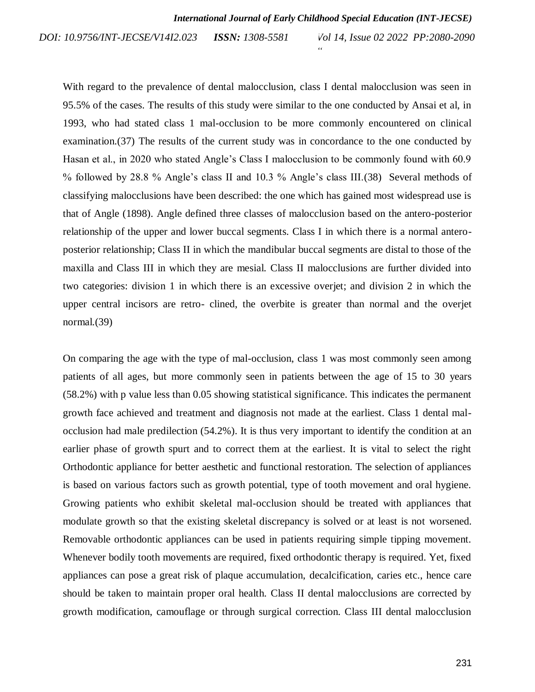*Vol 14, Issue 02 2022 PP:2080-2090 DOI: 10.9756/INT-JECSE/V14I2.023 ISSN: 1308-5581*

With regard to the prevalence of dental malocclusion, class I dental malocclusion was seen in 95.5% of the cases. The results of this study were similar to the one conducted by Ansai et al, in 1993, who had stated class 1 mal-occlusion to be more commonly encountered on clinical examination[.\(37\)](https://paperpile.com/c/4Y1Qy5/EEqz) The results of the current study was in concordance to the one conducted by Hasan et al., in 2020 who stated Angle's Class I malocclusion to be commonly found with 60.9 % followed by 28.8 % Angle's class II and 10.3 % Angle's class III[.\(38\)](https://paperpile.com/c/4Y1Qy5/98VM) Several methods of classifying malocclusions have been described: the one which has gained most widespread use is that of Angle (1898). Angle defined three classes of malocclusion based on the antero-posterior relationship of the upper and lower buccal segments. Class I in which there is a normal anteroposterior relationship; Class II in which the mandibular buccal segments are distal to those of the maxilla and Class III in which they are mesial. Class II malocclusions are further divided into two categories: division 1 in which there is an excessive overjet; and division 2 in which the upper central incisors are retro- clined, the overbite is greater than normal and the overjet normal[.\(39\)](https://paperpile.com/c/4Y1Qy5/iKjg)

On comparing the age with the type of mal-occlusion, class 1 was most commonly seen among patients of all ages, but more commonly seen in patients between the age of 15 to 30 years (58.2%) with p value less than 0.05 showing statistical significance. This indicates the permanent growth face achieved and treatment and diagnosis not made at the earliest. Class 1 dental malocclusion had male predilection (54.2%). It is thus very important to identify the condition at an earlier phase of growth spurt and to correct them at the earliest. It is vital to select the right Orthodontic appliance for better aesthetic and functional restoration. The selection of appliances is based on various factors such as growth potential, type of tooth movement and oral hygiene. Growing patients who exhibit skeletal mal-occlusion should be treated with appliances that modulate growth so that the existing skeletal discrepancy is solved or at least is not worsened. Removable orthodontic appliances can be used in patients requiring simple tipping movement. Whenever bodily tooth movements are required, fixed orthodontic therapy is required. Yet, fixed appliances can pose a great risk of plaque accumulation, decalcification, caries etc., hence care should be taken to maintain proper oral health. Class II dental malocclusions are corrected by growth modification, camouflage or through surgical correction. Class III dental malocclusion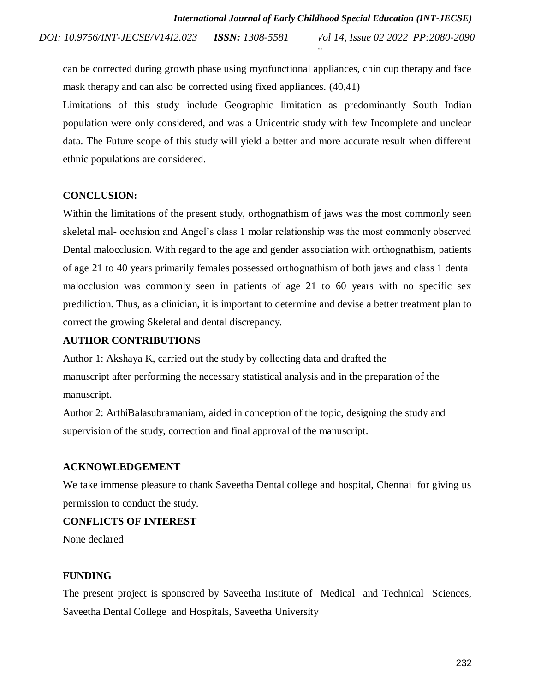*Vol 14, Issue 02 2022 PP:2080-2090 DOI: 10.9756/INT-JECSE/V14I2.023 ISSN: 1308-5581*

can be corrected during growth phase using myofunctional appliances, chin cup therapy and face mask therapy and can also be corrected using fixed appliances. [\(40,41\)](https://paperpile.com/c/4Y1Qy5/VD1n+dQxN)

Limitations of this study include Geographic limitation as predominantly South Indian population were only considered, and was a Unicentric study with few Incomplete and unclear data. The Future scope of this study will yield a better and more accurate result when different ethnic populations are considered.

#### **CONCLUSION:**

Within the limitations of the present study, orthognathism of jaws was the most commonly seen skeletal mal- occlusion and Angel's class 1 molar relationship was the most commonly observed Dental malocclusion. With regard to the age and gender association with orthognathism, patients of age 21 to 40 years primarily females possessed orthognathism of both jaws and class 1 dental malocclusion was commonly seen in patients of age 21 to 60 years with no specific sex prediliction. Thus, as a clinician, it is important to determine and devise a better treatment plan to correct the growing Skeletal and dental discrepancy.

#### **AUTHOR CONTRIBUTIONS**

Author 1: Akshaya K, carried out the study by collecting data and drafted the manuscript after performing the necessary statistical analysis and in the preparation of the manuscript.

Author 2: ArthiBalasubramaniam, aided in conception of the topic, designing the study and supervision of the study, correction and final approval of the manuscript.

#### **ACKNOWLEDGEMENT**

We take immense pleasure to thank Saveetha Dental college and hospital, Chennai for giving us permission to conduct the study.

#### **CONFLICTS OF INTEREST**

None declared

#### **FUNDING**

The present project is sponsored by Saveetha Institute of Medical and Technical Sciences, Saveetha Dental College and Hospitals, Saveetha University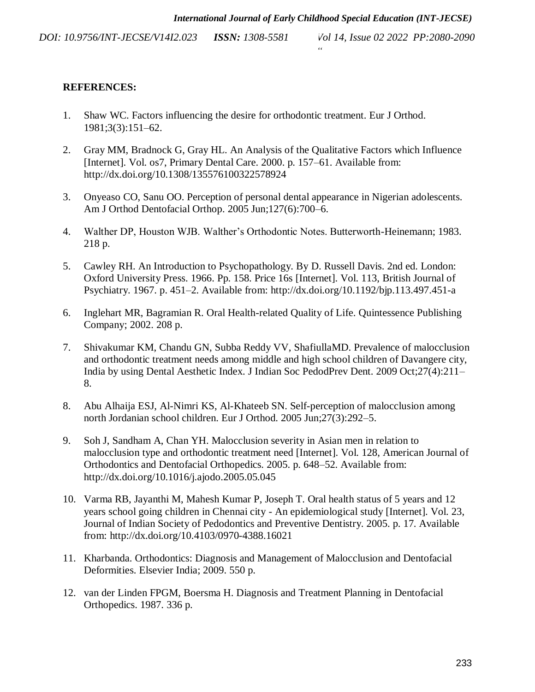*Vol 14, Issue 02 2022 PP:2080-2090 DOI: 10.9756/INT-JECSE/V14I2.023 ISSN: 1308-5581*

# **REFERENCES:**

- 1. [Shaw WC. Factors influencing the desire for orthodontic treatment. Eur J Orthod.](http://paperpile.com/b/4Y1Qy5/V1eE)  [1981;3\(3\):151–62.](http://paperpile.com/b/4Y1Qy5/V1eE)
- 2. [Gray MM, Bradnock G, Gray HL. An Analysis of the Qualitative Factors which Influence](http://paperpile.com/b/4Y1Qy5/ZKmG)  [\[Internet\]. Vol. os7, Primary Dental Care. 2000. p. 157–61. Available from:](http://paperpile.com/b/4Y1Qy5/ZKmG)  [http://dx.doi.org/10.1308/135576100322578924](http://paperpile.com/b/4Y1Qy5/ZKmG)
- 3. [Onyeaso CO, Sanu OO. Perception of personal dental appearance in Nigerian adolescents.](http://paperpile.com/b/4Y1Qy5/JbWB)  [Am J Orthod Dentofacial Orthop. 2005 Jun;127\(6\):700–6.](http://paperpile.com/b/4Y1Qy5/JbWB)
- 4. [Walther DP, Houston WJB. Walther's Orthodontic Notes. Butterworth-Heinemann; 1983.](http://paperpile.com/b/4Y1Qy5/ua21)  [218 p.](http://paperpile.com/b/4Y1Qy5/ua21)
- 5. [Cawley RH. An Introduction to Psychopathology. By D. Russell Davis. 2nd ed. London:](http://paperpile.com/b/4Y1Qy5/CtJc)  [Oxford University Press. 1966. Pp. 158. Price 16s \[Internet\]. Vol. 113, British Journal of](http://paperpile.com/b/4Y1Qy5/CtJc)  [Psychiatry. 1967. p. 451–2. Available from: http://dx.doi.org/10.1192/bjp.113.497.451-a](http://paperpile.com/b/4Y1Qy5/CtJc)
- 6. [Inglehart MR, Bagramian R. Oral Health-related Quality of Life. Quintessence Publishing](http://paperpile.com/b/4Y1Qy5/8ofs)  [Company; 2002. 208 p.](http://paperpile.com/b/4Y1Qy5/8ofs)
- 7. [Shivakumar KM, Chandu GN, Subba Reddy VV, ShafiullaMD. Prevalence of malocclusion](http://paperpile.com/b/4Y1Qy5/XCzT)  [and orthodontic treatment needs among middle and high school children of Davangere city,](http://paperpile.com/b/4Y1Qy5/XCzT)  [India by using Dental Aesthetic Index. J Indian Soc PedodPrev Dent. 2009 Oct;27\(4\):211–](http://paperpile.com/b/4Y1Qy5/XCzT) [8.](http://paperpile.com/b/4Y1Qy5/XCzT)
- 8. [Abu Alhaija ESJ, Al-Nimri KS, Al-Khateeb SN. Self-perception of malocclusion among](http://paperpile.com/b/4Y1Qy5/oLid)  [north Jordanian school children. Eur J Orthod. 2005 Jun;27\(3\):292–5.](http://paperpile.com/b/4Y1Qy5/oLid)
- 9. [Soh J, Sandham A, Chan YH. Malocclusion severity in Asian men in relation to](http://paperpile.com/b/4Y1Qy5/qAY7)  [malocclusion type and orthodontic treatment need \[Internet\]. Vol. 128, American Journal of](http://paperpile.com/b/4Y1Qy5/qAY7)  [Orthodontics and Dentofacial Orthopedics. 2005. p. 648–52. Available from:](http://paperpile.com/b/4Y1Qy5/qAY7)  [http://dx.doi.org/10.1016/j.ajodo.2005.05.045](http://paperpile.com/b/4Y1Qy5/qAY7)
- 10. [Varma RB, Jayanthi M, Mahesh Kumar P, Joseph T. Oral health status of 5 years and 12](http://paperpile.com/b/4Y1Qy5/gNqc)  years school going children in Chennai city - [An epidemiological study \[Internet\]. Vol. 23,](http://paperpile.com/b/4Y1Qy5/gNqc)  [Journal of Indian Society of Pedodontics and Preventive Dentistry. 2005. p. 17. Available](http://paperpile.com/b/4Y1Qy5/gNqc)  [from: http://dx.doi.org/10.4103/0970-4388.16021](http://paperpile.com/b/4Y1Qy5/gNqc)
- 11. [Kharbanda. Orthodontics: Diagnosis and Management of Malocclusion and Dentofacial](http://paperpile.com/b/4Y1Qy5/0b9C)  [Deformities. Elsevier India; 2009. 550 p.](http://paperpile.com/b/4Y1Qy5/0b9C)
- 12. van [der Linden FPGM, Boersma H. Diagnosis and Treatment Planning in Dentofacial](http://paperpile.com/b/4Y1Qy5/OCSP)  [Orthopedics. 1987. 336 p.](http://paperpile.com/b/4Y1Qy5/OCSP)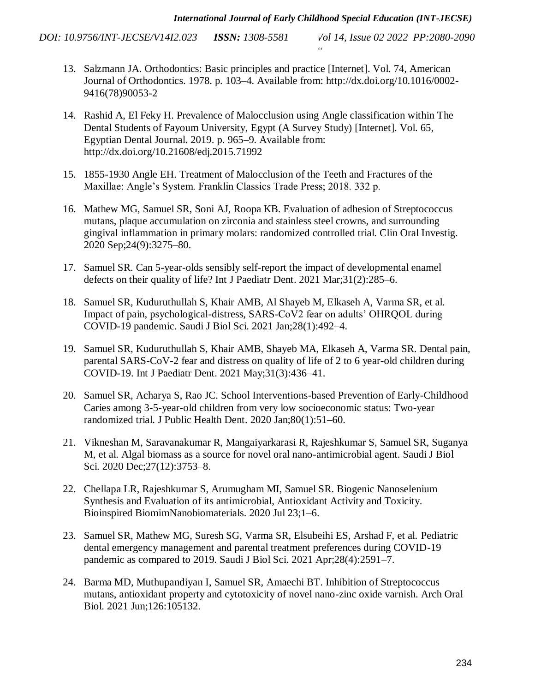- 13. [Salzmann JA. Orthodontics: Basic principles and practice \[Internet\]. Vol. 74, American](http://paperpile.com/b/4Y1Qy5/aPO6)  [Journal of Orthodontics. 1978. p. 103–4. Available from: http://dx.doi.org/10.1016/0002-](http://paperpile.com/b/4Y1Qy5/aPO6) 9416(78)90053-2
- 14. [Rashid A, El Feky H. Prevalence of Malocclusion using Angle classification within The](http://paperpile.com/b/4Y1Qy5/ciy2)  [Dental Students of Fayoum University, Egypt \(A Survey Study\) \[Internet\]. Vol. 65,](http://paperpile.com/b/4Y1Qy5/ciy2)  [Egyptian Dental Journal. 2019. p. 965–9. Available from:](http://paperpile.com/b/4Y1Qy5/ciy2)  [http://dx.doi.org/10.21608/edj.2015.71992](http://paperpile.com/b/4Y1Qy5/ciy2)
- 15. [1855-1930 Angle EH. Treatment of Malocclusion of the Teeth and Fractures of the](http://paperpile.com/b/4Y1Qy5/sEGG)  [Maxillae: Angle's System. Franklin Classics Trade Press; 2018. 332 p.](http://paperpile.com/b/4Y1Qy5/sEGG)
- 16. [Mathew MG, Samuel SR, Soni AJ, Roopa KB. Evaluation of adhesion of Streptococcus](http://paperpile.com/b/4Y1Qy5/qffJY)  [mutans, plaque accumulation on zirconia and stainless steel crowns, and surrounding](http://paperpile.com/b/4Y1Qy5/qffJY)  [gingival inflammation in primary molars: randomized controlled trial. Clin Oral Investig.](http://paperpile.com/b/4Y1Qy5/qffJY)  [2020 Sep;24\(9\):3275–80.](http://paperpile.com/b/4Y1Qy5/qffJY)
- 17. [Samuel SR. Can 5-year-olds sensibly self-report the impact of developmental enamel](http://paperpile.com/b/4Y1Qy5/b1nrW)  [defects on their quality of life? Int J Paediatr Dent. 2021 Mar;31\(2\):285–6.](http://paperpile.com/b/4Y1Qy5/b1nrW)
- 18. [Samuel SR, Kuduruthullah S, Khair AMB, Al Shayeb M, Elkaseh A, Varma SR, et al.](http://paperpile.com/b/4Y1Qy5/Qio1k)  [Impact of pain, psychological-distress, SARS-CoV2 fear on adults' OHRQOL during](http://paperpile.com/b/4Y1Qy5/Qio1k)  [COVID-19 pandemic. Saudi J Biol Sci. 2021 Jan;28\(1\):492–4.](http://paperpile.com/b/4Y1Qy5/Qio1k)
- 19. [Samuel SR, Kuduruthullah S, Khair AMB, Shayeb MA, Elkaseh A, Varma SR. Dental pain,](http://paperpile.com/b/4Y1Qy5/Qnz6m)  [parental SARS-CoV-2 fear and distress on quality of life of 2 to 6 year-old children during](http://paperpile.com/b/4Y1Qy5/Qnz6m)  [COVID-19. Int J Paediatr Dent. 2021 May;31\(3\):436–41.](http://paperpile.com/b/4Y1Qy5/Qnz6m)
- 20. [Samuel SR, Acharya S, Rao JC. School Interventions-based Prevention of Early-Childhood](http://paperpile.com/b/4Y1Qy5/rZiXa)  Caries among 3-5-year-old children [from very low socioeconomic status: Two-year](http://paperpile.com/b/4Y1Qy5/rZiXa)  [randomized trial. J Public Health Dent. 2020 Jan;80\(1\):51–60.](http://paperpile.com/b/4Y1Qy5/rZiXa)
- 21. [Vikneshan M, Saravanakumar R, Mangaiyarkarasi R, Rajeshkumar S, Samuel SR, Suganya](http://paperpile.com/b/4Y1Qy5/WnCGZ)  [M, et al. Algal biomass as a source for novel oral nano-antimicrobial agent. Saudi J Biol](http://paperpile.com/b/4Y1Qy5/WnCGZ)  [Sci. 2020 Dec;27\(12\):3753–8.](http://paperpile.com/b/4Y1Qy5/WnCGZ)
- 22. [Chellapa LR, Rajeshkumar S, Arumugham MI, Samuel SR. Biogenic Nanoselenium](http://paperpile.com/b/4Y1Qy5/bavy4)  [Synthesis and Evaluation of its antimicrobial, Antioxidant Activity and Toxicity.](http://paperpile.com/b/4Y1Qy5/bavy4)  [Bioinspired BiomimNanobiomaterials. 2020 Jul 23;1–6.](http://paperpile.com/b/4Y1Qy5/bavy4)
- 23. [Samuel SR, Mathew MG, Suresh SG, Varma SR, Elsubeihi ES, Arshad F, et al. Pediatric](http://paperpile.com/b/4Y1Qy5/7qHzU)  [dental emergency management and parental treatment preferences during COVID-19](http://paperpile.com/b/4Y1Qy5/7qHzU)  [pandemic as compared to 2019. Saudi J Biol Sci. 2021 Apr;28\(4\):2591–7.](http://paperpile.com/b/4Y1Qy5/7qHzU)
- 24. [Barma MD, Muthupandiyan I, Samuel SR, Amaechi BT. Inhibition of Streptococcus](http://paperpile.com/b/4Y1Qy5/KCRCu)  [mutans, antioxidant property and cytotoxicity of novel nano-zinc oxide varnish. Arch Oral](http://paperpile.com/b/4Y1Qy5/KCRCu)  [Biol. 2021 Jun;126:105132.](http://paperpile.com/b/4Y1Qy5/KCRCu)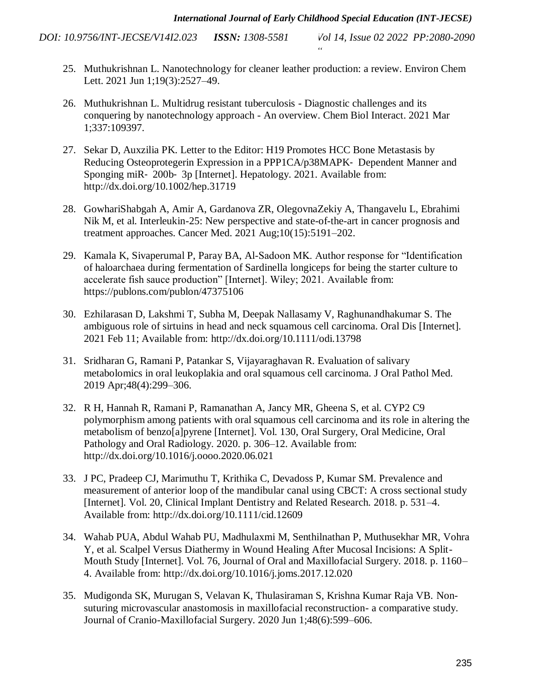- 25. [Muthukrishnan L. Nanotechnology for cleaner leather production: a review. Environ Chem](http://paperpile.com/b/4Y1Qy5/0AfQk)  [Lett. 2021 Jun 1;19\(3\):2527–49.](http://paperpile.com/b/4Y1Qy5/0AfQk)
- 26. [Muthukrishnan L. Multidrug resistant tuberculosis -](http://paperpile.com/b/4Y1Qy5/Uto27) Diagnostic challenges and its conquering by nanotechnology approach - [An overview. Chem Biol Interact. 2021 Mar](http://paperpile.com/b/4Y1Qy5/Uto27)  [1;337:109397.](http://paperpile.com/b/4Y1Qy5/Uto27)
- 27. [Sekar D, Auxzilia PK. Letter to the Editor: H19 Promotes HCC Bone Metastasis by](http://paperpile.com/b/4Y1Qy5/TvQJM)  [Reducing Osteoprotegerin Expression in a PPP1CA/p38MAPK](http://paperpile.com/b/4Y1Qy5/TvQJM)‐ Dependent Manner and Sponging miR‐ 200b‐ [3p \[Internet\]. Hepatology. 2021. Available from:](http://paperpile.com/b/4Y1Qy5/TvQJM)  [http://dx.doi.org/10.1002/hep.31719](http://paperpile.com/b/4Y1Qy5/TvQJM)
- 28. GowhariShabgah A, Amir A, [Gardanova ZR, OlegovnaZekiy A, Thangavelu L, Ebrahimi](http://paperpile.com/b/4Y1Qy5/DhzEZ)  [Nik M, et al. Interleukin-25: New perspective and state-of-the-art in cancer prognosis and](http://paperpile.com/b/4Y1Qy5/DhzEZ)  [treatment approaches. Cancer Med. 2021 Aug;10\(15\):5191–202.](http://paperpile.com/b/4Y1Qy5/DhzEZ)
- 29. [Kamala K, Sivaperumal P, Paray BA, Al-Sadoon MK. Author response for "Identification](http://paperpile.com/b/4Y1Qy5/6yKdn)  [of haloarchaea during fermentation of Sardinella longiceps for being the starter culture to](http://paperpile.com/b/4Y1Qy5/6yKdn)  [accelerate fish sauce production" \[Internet\]. Wiley; 2021. Available from:](http://paperpile.com/b/4Y1Qy5/6yKdn)  [https://publons.com/publon/47375106](http://paperpile.com/b/4Y1Qy5/6yKdn)
- 30. [Ezhilarasan D, Lakshmi T, Subha M, Deepak Nallasamy V, Raghunandhakumar S. The](http://paperpile.com/b/4Y1Qy5/3M6NT)  ambiguous role of sirtuins [in head and neck squamous cell carcinoma. Oral Dis \[Internet\].](http://paperpile.com/b/4Y1Qy5/3M6NT)  [2021 Feb 11; Available from: http://dx.doi.org/10.1111/odi.13798](http://paperpile.com/b/4Y1Qy5/3M6NT)
- 31. [Sridharan G, Ramani P, Patankar S, Vijayaraghavan R. Evaluation of salivary](http://paperpile.com/b/4Y1Qy5/GZTNl)  [metabolomics in oral leukoplakia and oral squamous cell carcinoma. J Oral Pathol Med.](http://paperpile.com/b/4Y1Qy5/GZTNl)  [2019 Apr;48\(4\):299–306.](http://paperpile.com/b/4Y1Qy5/GZTNl)
- 32. [R H, Hannah R, Ramani P, Ramanathan A, Jancy MR, Gheena S, et al. CYP2 C9](http://paperpile.com/b/4Y1Qy5/WxwJU)  [polymorphism among patients with oral squamous cell carcinoma and its role in altering the](http://paperpile.com/b/4Y1Qy5/WxwJU)  [metabolism of benzo\[a\]pyrene \[Internet\]. Vol. 130, Oral Surgery, Oral Medicine, Oral](http://paperpile.com/b/4Y1Qy5/WxwJU)  [Pathology and Oral Radiology. 2020. p. 306–12. Available from:](http://paperpile.com/b/4Y1Qy5/WxwJU)  [http://dx.doi.org/10.1016/j.oooo.2020.06.021](http://paperpile.com/b/4Y1Qy5/WxwJU)
- 33. [J PC, Pradeep CJ, Marimuthu T, Krithika C, Devadoss P, Kumar SM. Prevalence and](http://paperpile.com/b/4Y1Qy5/RHEF0)  [measurement of anterior loop of the mandibular canal using CBCT: A cross sectional study](http://paperpile.com/b/4Y1Qy5/RHEF0)  [\[Internet\]. Vol. 20, Clinical Implant Dentistry and Related Research. 2018. p. 531–4.](http://paperpile.com/b/4Y1Qy5/RHEF0)  [Available from: http://dx.doi.org/10.1111/cid.12609](http://paperpile.com/b/4Y1Qy5/RHEF0)
- 34. [Wahab PUA, Abdul Wahab PU, Madhulaxmi M, Senthilnathan P, Muthusekhar MR, Vohra](http://paperpile.com/b/4Y1Qy5/vOlBO)  [Y, et al. Scalpel Versus Diathermy in Wound Healing After Mucosal Incisions: A Split-](http://paperpile.com/b/4Y1Qy5/vOlBO)[Mouth Study \[Internet\]. Vol. 76, Journal of Oral and Maxillofacial Surgery. 2018. p. 1160–](http://paperpile.com/b/4Y1Qy5/vOlBO) [4. Available from: http://dx.doi.org/10.1016/j.joms.2017.12.020](http://paperpile.com/b/4Y1Qy5/vOlBO)
- 35. [Mudigonda SK, Murugan S, Velavan K, Thulasiraman S, Krishna Kumar Raja VB.](http://paperpile.com/b/4Y1Qy5/igI6o) Non[suturing microvascular anastomosis in maxillofacial reconstruction-](http://paperpile.com/b/4Y1Qy5/igI6o) a comparative study. [Journal of Cranio-Maxillofacial Surgery. 2020 Jun 1;48\(6\):599–606.](http://paperpile.com/b/4Y1Qy5/igI6o)